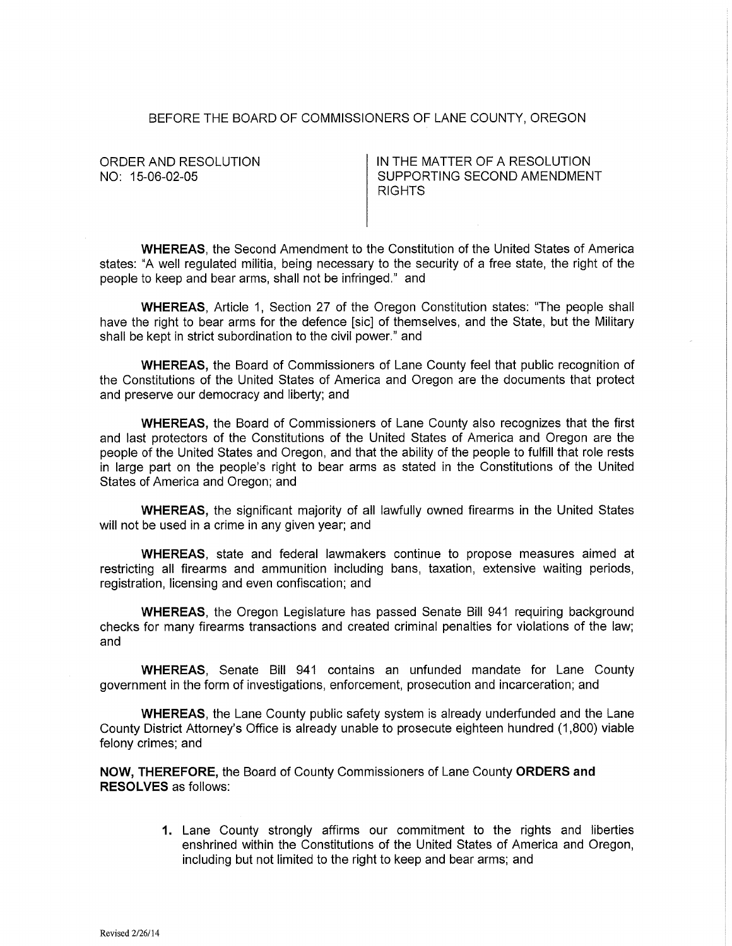## BEFORE THE BOARD OF COMMISSIONERS OF LANE COUNTY, OREGON

ORDER AND RESOLUTION NO: 15-06-02-05

IN THE MATTER OF A RESOLUTION SUPPORTING SECOND AMENDMENT RIGHTS

**WHEREAS,** the Second Amendment to the Constitution of the United States of America states: "A well regulated militia, being necessary to the security of a free state, the right of the people to keep and bear arms, shall not be infringed." and

**WHEREAS,** Article 1, Section 27 of the Oregon Constitution states: ''The people shall have the right to bear arms for the defence [sic] of themselves, and the State, but the Military shall be kept in strict subordination to the civil power." and

**WHEREAS,** the Board of Commissioners of Lane County feel that public recognition of the Constitutions of the United States of America and Oregon are the documents that protect and preserve our democracy and liberty; and

**WHEREAS,** the Board of Commissioners of Lane County also recognizes that the first and last protectors of the Constitutions of the United States of America and Oregon are the people of the United States and Oregon, and that the ability of the people to fulfill that role rests in large part on the people's right to bear arms as stated in the Constitutions of the United States of America and Oregon; and

**WHEREAS,** the significant majority of all lawfully owned firearms in the United States will not be used in a crime in any given year; and

**WHEREAS,** state and federal lawmakers continue to propose measures aimed at restricting all firearms and ammunition including bans, taxation, extensive waiting periods, registration, licensing and even confiscation; and

**WHEREAS,** the Oregon Legislature has passed Senate Bill 941 requiring background checks for many firearms transactions and created criminal penalties for violations of the law; and

**WHEREAS,** Senate Bill 941 contains an unfunded mandate for Lane County government in the form of investigations, enforcement, prosecution and incarceration; and

**WHEREAS,** the Lane County public safety system is already underfunded and the Lane County District Attorney's Office is already unable to prosecute eighteen hundred (1 ,800) viable felony crimes; and

**NOW, THEREFORE,** the Board of County Commissioners of Lane County **ORDERS and RESOLVES** as follows:

> **1.** Lane County strongly affirms our commitment to the rights and liberties enshrined within the Constitutions of the United States of America and Oregon, including but not limited to the right to keep and bear arms; and